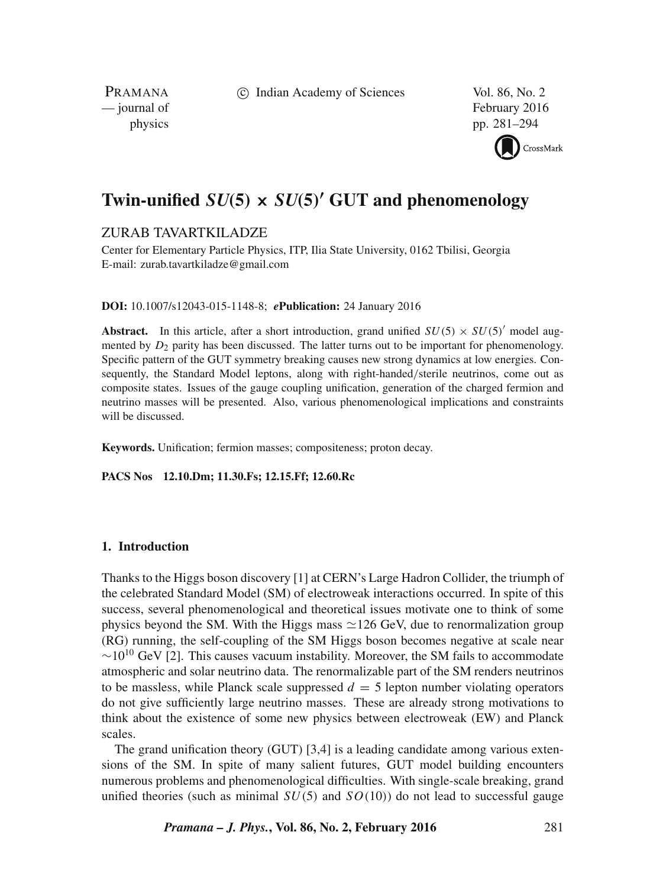c Indian Academy of Sciences Vol. 86, No. 2

PRAMANA<br>
— journal of

February 2016 physics pp. 281–294



# **Twin-unified** SU(**5**) × SU(**5**) ′ **GUT and phenomenology**

# ZURAB TAVARTKILADZE

Center for Elementary Particle Physics, ITP, Ilia State University, 0162 Tbilisi, Georgia E-mail: zurab.tavartkiladze@gmail.com

## **DOI:** 10.1007/s12043-015-1148-8; *e***Publication:** 24 January 2016

**Abstract.** In this article, after a short introduction, grand unified  $SU(5) \times SU(5)$  model augmented by  $D_2$  parity has been discussed. The latter turns out to be important for phenomenology. Specific pattern of the GUT symmetry breaking causes new strong dynamics at low energies. Consequently, the Standard Model leptons, along with right-handed/sterile neutrinos, come out as composite states. Issues of the gauge coupling unification, generation of the charged fermion and neutrino masses will be presented. Also, various phenomenological implications and constraints will be discussed.

**Keywords.** Unification; fermion masses; compositeness; proton decay.

**PACS Nos 12.10.Dm; 11.30.Fs; 12.15.Ff; 12.60.Rc**

## **1. Introduction**

Thanks to the Higgs boson discovery [1] at CERN's Large Hadron Collider, the triumph of the celebrated Standard Model (SM) of electroweak interactions occurred. In spite of this success, several phenomenological and theoretical issues motivate one to think of some physics beyond the SM. With the Higgs mass  $\simeq$  126 GeV, due to renormalization group (RG) running, the self-coupling of the SM Higgs boson becomes negative at scale near  $\sim$ 10<sup>10</sup> GeV [2]. This causes vacuum instability. Moreover, the SM fails to accommodate atmospheric and solar neutrino data. The renormalizable part of the SM renders neutrinos to be massless, while Planck scale suppressed  $d = 5$  lepton number violating operators do not give sufficiently large neutrino masses. These are already strong motivations to think about the existence of some new physics between electroweak (EW) and Planck scales.

The grand unification theory (GUT) [3,4] is a leading candidate among various extensions of the SM. In spite of many salient futures, GUT model building encounters numerous problems and phenomenological difficulties. With single-scale breaking, grand unified theories (such as minimal  $SU(5)$  and  $SO(10)$ ) do not lead to successful gauge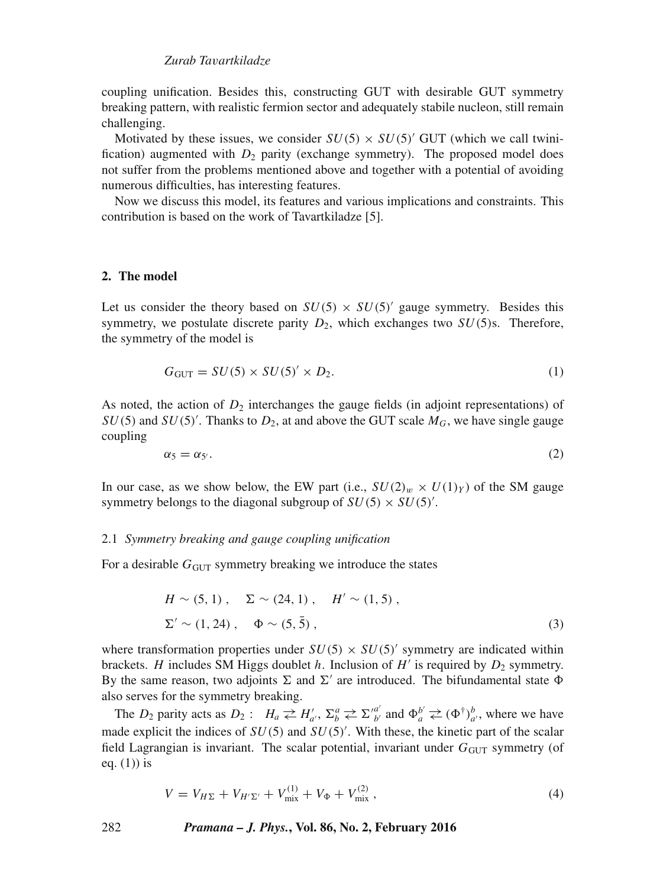coupling unification. Besides this, constructing GUT with desirable GUT symmetry breaking pattern, with realistic fermion sector and adequately stabile nucleon, still remain challenging.

Motivated by these issues, we consider  $SU(5) \times SU(5)$  GUT (which we call twinification) augmented with  $D_2$  parity (exchange symmetry). The proposed model does not suffer from the problems mentioned above and together with a potential of avoiding numerous difficulties, has interesting features.

Now we discuss this model, its features and various implications and constraints. This contribution is based on the work of Tavartkiladze [5].

## **2. The model**

Let us consider the theory based on  $SU(5) \times SU(5)'$  gauge symmetry. Besides this symmetry, we postulate discrete parity  $D_2$ , which exchanges two  $SU(5)$ s. Therefore, the symmetry of the model is

$$
G_{\text{GUT}} = SU(5) \times SU(5)' \times D_2. \tag{1}
$$

As noted, the action of  $D_2$  interchanges the gauge fields (in adjoint representations) of  $SU(5)$  and  $SU(5)'$ . Thanks to  $D_2$ , at and above the GUT scale  $M_G$ , we have single gauge coupling

$$
\alpha_5 = \alpha_{5'}.\tag{2}
$$

In our case, as we show below, the EW part (i.e.,  $SU(2)_w \times U(1)_Y$ ) of the SM gauge symmetry belongs to the diagonal subgroup of  $SU(5) \times SU(5)'$ .

#### 2.1 *Symmetry breaking and gauge coupling unification*

For a desirable  $G<sub>GUT</sub>$  symmetry breaking we introduce the states

$$
H \sim (5, 1), \quad \Sigma \sim (24, 1), \quad H' \sim (1, 5),
$$
  
 
$$
\Sigma' \sim (1, 24), \quad \Phi \sim (5, \bar{5}), \tag{3}
$$

where transformation properties under  $SU(5) \times SU(5)$  symmetry are indicated within brackets. H includes SM Higgs doublet h. Inclusion of  $H'$  is required by  $D_2$  symmetry. By the same reason, two adjoints  $\Sigma$  and  $\Sigma'$  are introduced. The bifundamental state  $\Phi$ also serves for the symmetry breaking.

The  $D_2$  parity acts as  $D_2$ :  $H_a \rightleftarrows H'_{a'}, \Sigma^a_b \rightleftarrows \Sigma'^{a'}_{b'}$  and  $\Phi^{b'}_a \rightleftarrows (\Phi^{\dagger})^b_{a'},$  where we have made explicit the indices of  $SU(5)$  and  $SU(5)'$ . With these, the kinetic part of the scalar field Lagrangian is invariant. The scalar potential, invariant under  $G<sub>GUT</sub>$  symmetry (of eq.  $(1)$ ) is

$$
V = V_{H\Sigma} + V_{H'\Sigma'} + V_{\text{mix}}^{(1)} + V_{\Phi} + V_{\text{mix}}^{(2)} \,, \tag{4}
$$

282 *Pramana – J. Phys.***, Vol. 86, No. 2, February 2016**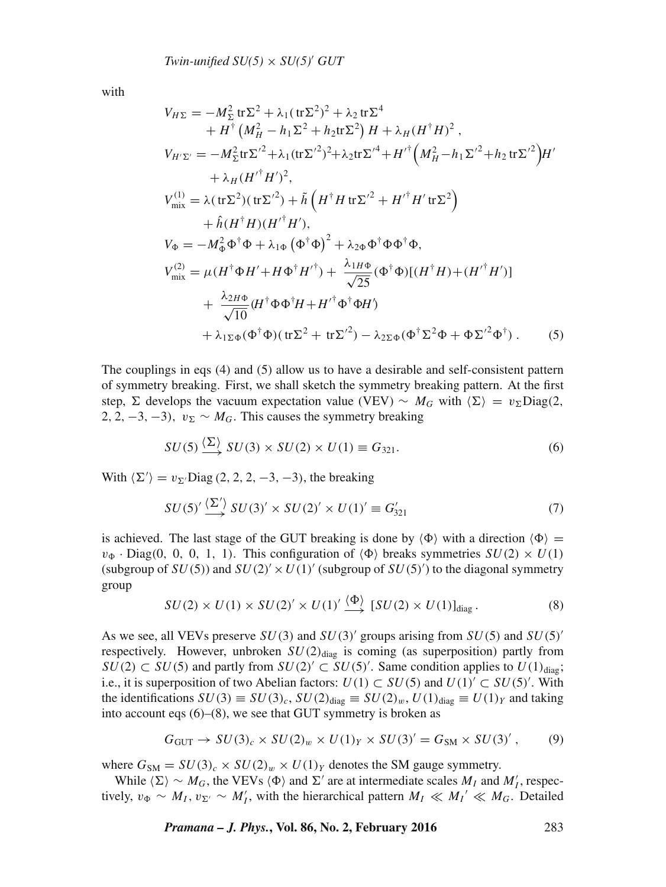with

$$
V_{H\Sigma} = -M_{\Sigma}^{2} tr \Sigma^{2} + \lambda_{1} (tr \Sigma^{2})^{2} + \lambda_{2} tr \Sigma^{4}
$$
  
+  $H^{\dagger} (M_{H}^{2} - h_{1} \Sigma^{2} + h_{2} tr \Sigma^{2}) H + \lambda_{H} (H^{\dagger} H)^{2}$ ,  

$$
V_{H^{\prime}\Sigma^{\prime}} = -M_{\Sigma}^{2} tr \Sigma^{\prime 2} + \lambda_{1} (tr \Sigma^{\prime 2})^{2} + \lambda_{2} tr \Sigma^{\prime 4} + H^{\prime \dagger} (M_{H}^{2} - h_{1} \Sigma^{\prime 2} + h_{2} tr \Sigma^{\prime 2}) H^{\prime}
$$

$$
+ \lambda_{H} (H^{\prime \dagger} H^{\prime})^{2},
$$

$$
V_{\text{mix}}^{(1)} = \lambda (tr \Sigma^{2}) (tr \Sigma^{\prime 2}) + \tilde{h} (H^{\dagger} H tr \Sigma^{\prime 2} + H^{\prime \dagger} H^{\prime} tr \Sigma^{2})
$$

$$
+ \hat{h} (H^{\dagger} H) (H^{\prime \dagger} H^{\prime}),
$$

$$
V_{\Phi} = -M_{\Phi}^{2} \Phi^{\dagger} \Phi + \lambda_{1\Phi} (\Phi^{\dagger} \Phi)^{2} + \lambda_{2\Phi} \Phi^{\dagger} \Phi \Phi^{\dagger} \Phi,
$$

$$
V_{\text{mix}}^{(2)} = \mu (H^{\dagger} \Phi H^{\prime} + H \Phi^{\dagger} H^{\prime \dagger}) + \frac{\lambda_{1H}\Phi}{\sqrt{25}} (\Phi^{\dagger} \Phi) [(H^{\dagger} H) + (H^{\prime \dagger} H^{\prime})]
$$

$$
+ \frac{\lambda_{2H}\Phi}{\sqrt{10}} (H^{\dagger} \Phi \Phi^{\dagger} H + H^{\prime \dagger} \Phi^{\dagger} \Phi H^{\prime})
$$

$$
+ \lambda_{1\Sigma\Phi} (\Phi^{\dagger} \Phi) (tr \Sigma^{2} + tr \Sigma^{\prime 2}) - \lambda_{2\Sigma\Phi} (\Phi^{\dagger} \Sigma^{2} \Phi + \Phi \Sigma^{\prime 2} \Phi^{\dagger}).
$$
(5)

The couplings in eqs (4) and (5) allow us to have a desirable and self-consistent pattern of symmetry breaking. First, we shall sketch the symmetry breaking pattern. At the first step,  $\Sigma$  develops the vacuum expectation value (VEV) ~  $M_G$  with  $\langle \Sigma \rangle = v_{\Sigma}$ Diag(2, 2, 2, -3, -3),  $v_{\Sigma} \sim M_G$ . This causes the symmetry breaking

$$
SU(5) \xrightarrow{\langle \Sigma \rangle} SU(3) \times SU(2) \times U(1) \equiv G_{321}.
$$
 (6)

With  $\langle \Sigma' \rangle = v_{\Sigma'}$ Diag (2, 2, 2, -3, -3), the breaking

$$
SU(5)' \xrightarrow{\langle \Sigma' \rangle} SU(3)' \times SU(2)' \times U(1)' \equiv G'_{321}
$$
 (7)

is achieved. The last stage of the GUT breaking is done by  $\langle \Phi \rangle$  with a direction  $\langle \Phi \rangle$  =  $v_{\Phi}$  · Diag(0, 0, 0, 1, 1). This configuration of  $\langle \Phi \rangle$  breaks symmetries  $SU(2) \times U(1)$ (subgroup of  $SU(5)$ ) and  $SU(2)' \times U(1)'$  (subgroup of  $SU(5)'$ ) to the diagonal symmetry group

$$
SU(2) \times U(1) \times SU(2)' \times U(1)' \xrightarrow{\langle \Phi \rangle} [SU(2) \times U(1)]_{\text{diag}}.
$$
 (8)

As we see, all VEVs preserve  $SU(3)$  and  $SU(3)'$  groups arising from  $SU(5)$  and  $SU(5)'$ respectively. However, unbroken  $SU(2)_{\text{diag}}$  is coming (as superposition) partly from  $SU(2) \subset SU(5)$  and partly from  $SU(2)' \subset SU(5)'$ . Same condition applies to  $U(1)_{diag}$ ; i.e., it is superposition of two Abelian factors:  $U(1) \subset SU(5)$  and  $U(1)' \subset SU(5)'$ . With the identifications  $SU(3) \equiv SU(3)_c$ ,  $SU(2)_{diag} \equiv SU(2)_w$ ,  $U(1)_{diag} \equiv U(1)_Y$  and taking into account eqs (6)–(8), we see that GUT symmetry is broken as

$$
G_{\text{GUT}} \to SU(3)_c \times SU(2)_w \times U(1)_Y \times SU(3)' = G_{\text{SM}} \times SU(3)', \qquad (9)
$$

where  $G_{\rm SM} = SU(3)_c \times SU(2)_w \times U(1)_Y$  denotes the SM gauge symmetry.

While  $\langle \Sigma \rangle \sim M_G$ , the VEVs  $\langle \Phi \rangle$  and  $\Sigma'$  are at intermediate scales  $M_I$  and  $M'_I$ , respectively,  $v_{\Phi} \sim M_I$ ,  $v_{\Sigma'} \sim M_I'$ , with the hierarchical pattern  $M_I \ll M_I' \ll M_G$ . Detailed

*Pramana – J. Phys.***, Vol. 86, No. 2, February 2016** 283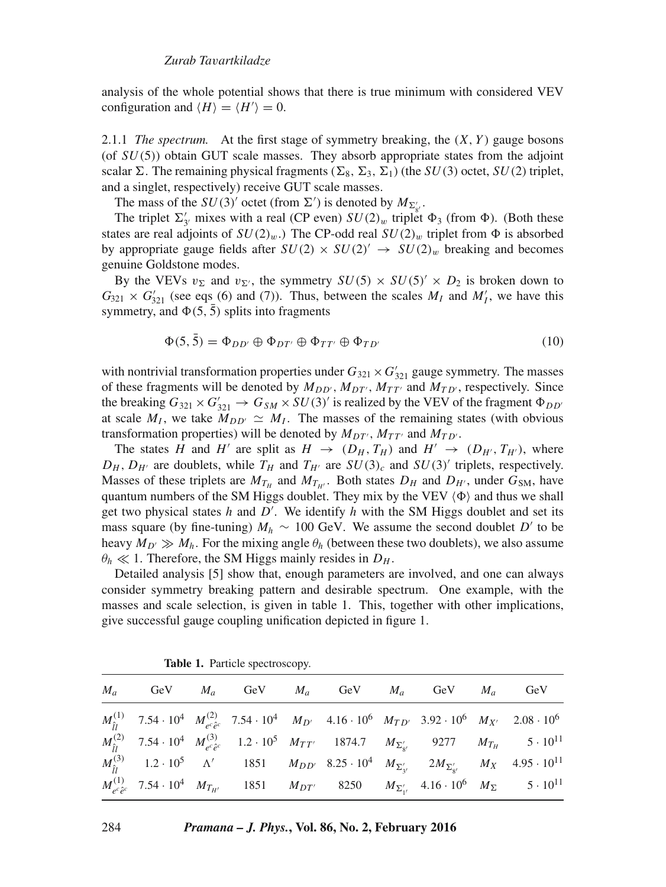analysis of the whole potential shows that there is true minimum with considered VEV configuration and  $\langle H \rangle = \langle H' \rangle = 0$ .

2.1.1 *The spectrum.* At the first stage of symmetry breaking, the  $(X, Y)$  gauge bosons (of  $SU(5)$ ) obtain GUT scale masses. They absorb appropriate states from the adjoint scalar  $\Sigma$ . The remaining physical fragments  $(\Sigma_8, \Sigma_3, \Sigma_1)$  (the  $SU(3)$  octet,  $SU(2)$  triplet, and a singlet, respectively) receive GUT scale masses.

The mass of the  $SU(3)^\prime$  octet (from  $\Sigma^\prime$ ) is denoted by  $M_{\Sigma^\prime_{s'}}$ .

The triplet  $\Sigma'_{3'}$  mixes with a real (CP even)  $SU(2)_w$  triplet  $\Phi_3$  (from  $\Phi$ ). (Both these states are real adjoints of  $SU(2)<sub>w</sub>$ . The CP-odd real  $SU(2)<sub>w</sub>$  triplet from  $\Phi$  is absorbed by appropriate gauge fields after  $SU(2) \times SU(2)' \rightarrow SU(2)_w$  breaking and becomes genuine Goldstone modes.

By the VEVs  $v_{\Sigma}$  and  $v_{\Sigma'}$ , the symmetry  $SU(5) \times SU(5)' \times D_2$  is broken down to  $G_{321} \times G'_{321}$  (see eqs (6) and (7)). Thus, between the scales  $M_I$  and  $M'_I$ , we have this symmetry, and  $\Phi(5, \bar{5})$  splits into fragments

$$
\Phi(5,5) = \Phi_{DD'} \oplus \Phi_{DT'} \oplus \Phi_{TT'} \oplus \Phi_{TD'} \tag{10}
$$

with nontrivial transformation properties under  $G_{321} \times G'_{321}$  gauge symmetry. The masses of these fragments will be denoted by  $M_{DD'}$ ,  $M_{DT'}$ ,  $M_{TT'}$  and  $M_{TD'}$ , respectively. Since the breaking  $G_{321} \times G'_{321} \rightarrow G_{SM} \times SU(3)'$  is realized by the VEV of the fragment  $\Phi_{DD}$ at scale  $M_I$ , we take  $M_{DD'} \simeq M_I$ . The masses of the remaining states (with obvious transformation properties) will be denoted by  $M_{DT'}$ ,  $M_{TT'}$  and  $M_{TD'}$ .

The states H and H' are split as  $H \to (D_H, T_H)$  and  $H' \to (D_{H'}, T_{H'})$ , where  $D_H$ ,  $D_{H'}$  are doublets, while  $T_H$  and  $T_{H'}$  are  $SU(3)_c$  and  $SU(3)'$  triplets, respectively. Masses of these triplets are  $M_{T_H}$  and  $M_{T_{H'}}$ . Both states  $D_H$  and  $D_{H'}$ , under  $G_{SM}$ , have quantum numbers of the SM Higgs doublet. They mix by the VEV  $\langle \Phi \rangle$  and thus we shall get two physical states h and D'. We identify h with the SM Higgs doublet and set its mass square (by fine-tuning)  $M_h \sim 100 \text{ GeV}$ . We assume the second doublet D' to be heavy  $M_{D'} \gg M_h$ . For the mixing angle  $\theta_h$  (between these two doublets), we also assume  $\theta_h \ll 1$ . Therefore, the SM Higgs mainly resides in  $D_H$ .

Detailed analysis [5] show that, enough parameters are involved, and one can always consider symmetry breaking pattern and desirable spectrum. One example, with the masses and scale selection, is given in table 1. This, together with other implications, give successful gauge coupling unification depicted in figure 1.

| $M_a$ GeV $M_a$ GeV $M_a$ GeV $M_a$ GeV $M_a$ GeV $M_a$ |  |  |  |                                                                                                                                                                                                          |
|---------------------------------------------------------|--|--|--|----------------------------------------------------------------------------------------------------------------------------------------------------------------------------------------------------------|
|                                                         |  |  |  | $M_{\hat{t}l}^{(1)} \quad 7.54 \cdot 10^4 \quad M_{e^c \hat{e}^c}^{(2)} \quad 7.54 \cdot 10^4 \quad M_{D'} \quad 4.16 \cdot 10^6 \quad M_{TD'} \quad 3.92 \cdot 10^6 \quad M_{X'} \quad 2.08 \cdot 10^6$ |
|                                                         |  |  |  | $M_{\hat{i}1}^{(2)}$ 7.54 $\cdot$ 10 <sup>4</sup> $M_{e^c\hat{e}c}^{(3)}$ 1.2 $\cdot$ 10 <sup>5</sup> $M_{TT'}$ 1874.7 $M_{\Sigma'_{8'}}$ 9277 $M_{T_H}$ 5 $\cdot$ 10 <sup>11</sup>                      |
|                                                         |  |  |  | $M_{\hat{i}1}^{(3)}$ 1.2 · 10 <sup>5</sup> $\Lambda'$ 1851 $M_{DD'}$ 8.25 · 10 <sup>4</sup> $M_{\Sigma'_{\gamma'}}$ 2 $M_{\Sigma'_{\gamma'}}$ $M_X$ 4.95 · 10 <sup>11</sup>                              |
|                                                         |  |  |  | $M_{e^c\hat{e}^c}^{(1)}$ 7.54 $\cdot$ 10 <sup>4</sup> $M_{T_{H'}}$ 1851 $M_{DT'}$ 8250 $M_{\Sigma'_{1'}}$ 4.16 $\cdot$ 10 <sup>6</sup> $M_{\Sigma}$ 5 $\cdot$ 10 <sup>11</sup>                           |
|                                                         |  |  |  |                                                                                                                                                                                                          |

**Table 1.** Particle spectroscopy.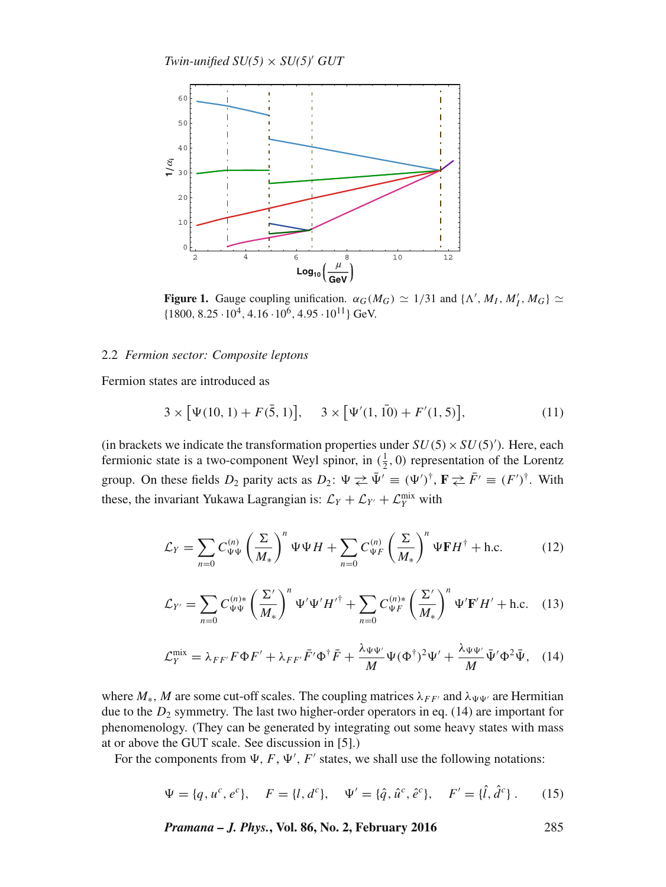*Twin-unified*  $SU(5) \times SU(5)'$  *GUT* 



**Figure 1.** Gauge coupling unification.  $\alpha_G(M_G) \simeq 1/31$  and  $\{\Lambda', M_I, M'_I, M_G\} \simeq$  $\{1800, 8.25 \cdot 10^4, 4.16 \cdot 10^6, 4.95 \cdot 10^{11}\}$  GeV.

## 2.2 *Fermion sector: Composite leptons*

Fermion states are introduced as

$$
3 \times [\Psi(10, 1) + F(\bar{5}, 1)], \quad 3 \times [\Psi'(1, \bar{10}) + F'(1, 5)], \tag{11}
$$

(in brackets we indicate the transformation properties under  $SU(5) \times SU(5)'$ ). Here, each fermionic state is a two-component Weyl spinor, in  $(\frac{1}{2}, 0)$  representation of the Lorentz group. On these fields  $D_2$  parity acts as  $D_2$ :  $\Psi \ncong \bar{\Psi}' \equiv (\Psi')^{\dagger}$ ,  $\mathbf{F} \ncong \bar{F}' \equiv (F')^{\dagger}$ . With these, the invariant Yukawa Lagrangian is:  $\mathcal{L}_Y + \mathcal{L}_{Y'} + \mathcal{L}_Y^{\text{mix}}$  with

$$
\mathcal{L}_Y = \sum_{n=0} C_{\Psi\Psi}^{(n)} \left(\frac{\Sigma}{M_*}\right)^n \Psi\Psi H + \sum_{n=0} C_{\Psi F}^{(n)} \left(\frac{\Sigma}{M_*}\right)^n \Psi \mathbf{F} H^\dagger + \text{h.c.}
$$
 (12)

$$
\mathcal{L}_{Y'} = \sum_{n=0} C_{\Psi\Psi}^{(n)*} \left(\frac{\Sigma'}{M_*}\right)^n \Psi' \Psi' H'^\dagger + \sum_{n=0} C_{\Psi F}^{(n)*} \left(\frac{\Sigma'}{M_*}\right)^n \Psi' \mathbf{F'} H' + \text{h.c.} \quad (13)
$$

$$
\mathcal{L}_Y^{\text{mix}} = \lambda_{FF'} F \Phi F' + \lambda_{FF'} \bar{F}' \Phi^{\dagger} \bar{F} + \frac{\lambda_{\Psi\Psi'}}{M} \Psi (\Phi^{\dagger})^2 \Psi' + \frac{\lambda_{\Psi\Psi'}}{M} \bar{\Psi}' \Phi^2 \bar{\Psi}, \quad (14)
$$

where  $M_*$ , M are some cut-off scales. The coupling matrices  $\lambda_{FF'}$  and  $\lambda_{\Psi\Psi'}$  are Hermitian due to the  $D_2$  symmetry. The last two higher-order operators in eq. (14) are important for phenomenology. (They can be generated by integrating out some heavy states with mass at or above the GUT scale. See discussion in [5].)

For the components from  $\Psi$ ,  $F$ ,  $\Psi'$ ,  $F'$  states, we shall use the following notations:

$$
\Psi = \{q, u^c, e^c\}, \quad F = \{l, d^c\}, \quad \Psi' = \{\hat{q}, \hat{u}^c, \hat{e}^c\}, \quad F' = \{\hat{l}, \hat{d}^c\} \,.
$$
 (15)

*Pramana – J. Phys.***, Vol. 86, No. 2, February 2016** 285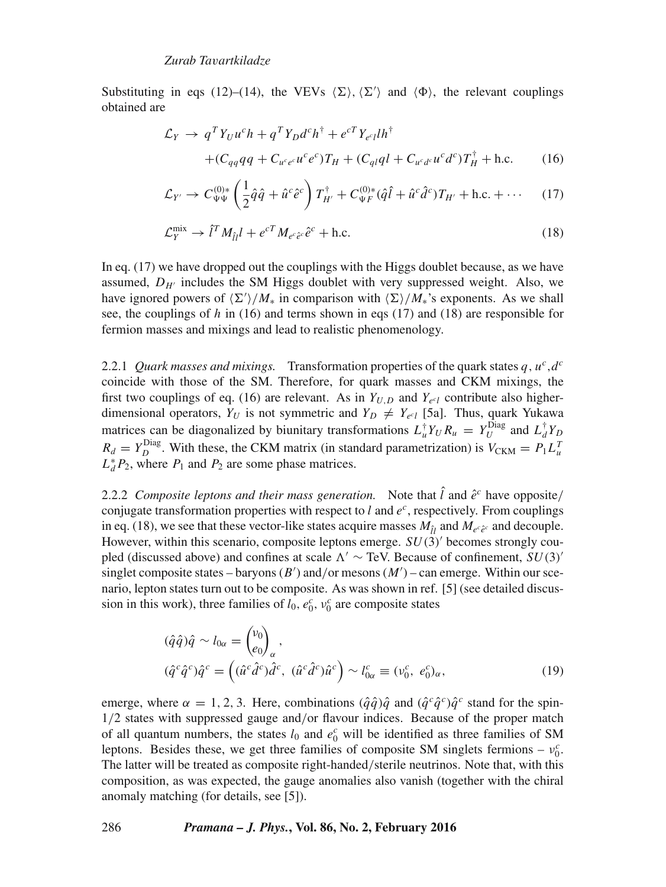Substituting in eqs (12)–(14), the VEVs  $\langle \Sigma \rangle$ ,  $\langle \Sigma' \rangle$  and  $\langle \Phi \rangle$ , the relevant couplings obtained are

$$
\mathcal{L}_Y \rightarrow q^T Y_U u^c h + q^T Y_D d^c h^{\dagger} + e^{cT} Y_{e^c l} l h^{\dagger}
$$
  
+ 
$$
(C_{qq} qq + C_{u^c e^c} u^c e^c) T_H + (C_{ql} q l + C_{u^c d^c} u^c d^c) T_H^{\dagger} + \text{h.c.}
$$
 (16)

$$
\mathcal{L}_{Y'} \to C_{\Psi\Psi}^{(0)*} \left(\frac{1}{2}\hat{q}\hat{q} + \hat{u}^c\hat{e}^c\right) T_{H'}^{\dagger} + C_{\Psi F}^{(0)*} (\hat{q}\hat{l} + \hat{u}^c\hat{d}^c) T_{H'} + \text{h.c.} + \cdots \tag{17}
$$

$$
\mathcal{L}_Y^{\text{mix}} \to \hat{l}^T M_{\hat{l}l} l + e^{cT} M_{e^c \hat{e}^c} \hat{e}^c + \text{h.c.}
$$
 (18)

In eq. (17) we have dropped out the couplings with the Higgs doublet because, as we have assumed,  $D_{H'}$  includes the SM Higgs doublet with very suppressed weight. Also, we have ignored powers of  $\langle \Sigma' \rangle / M_*$  in comparison with  $\langle \Sigma \rangle / M_*$ 's exponents. As we shall see, the couplings of h in (16) and terms shown in eqs (17) and (18) are responsible for fermion masses and mixings and lead to realistic phenomenology.

2.2.1 *Quark masses and mixings.* Transformation properties of the quark states  $q, u^c, d^c$ coincide with those of the SM. Therefore, for quark masses and CKM mixings, the first two couplings of eq. (16) are relevant. As in  $Y_{U,D}$  and  $Y_{e \in V}$  contribute also higherdimensional operators,  $Y_U$  is not symmetric and  $Y_D \neq Y_{e^c}$  [5a]. Thus, quark Yukawa matrices can be diagonalized by biunitary transformations  $L_u^{\dagger} Y_U R_u = Y_U^{\text{Diag}}$  and  $L_d^{\dagger} Y_D$  $R_d = Y_D^{\text{Diag}}$ . With these, the CKM matrix (in standard parametrization) is  $V_{\text{CKM}} = P_1 L_u^T$  $L_d^* P_2$ , where  $P_1$  and  $P_2$  are some phase matrices.

2.2.2 *Composite leptons and their mass generation.* Note that  $\hat{l}$  and  $\hat{e}^c$  have opposite/ conjugate transformation properties with respect to  $l$  and  $e^c$ , respectively. From couplings in eq. (18), we see that these vector-like states acquire masses  $M_{\hat{l}l}$  and  $M_{e^c\hat{e}^c}$  and decouple. However, within this scenario, composite leptons emerge.  $SU(3)$  becomes strongly coupled (discussed above) and confines at scale  $\Lambda' \sim \text{TeV}$ . Because of confinement,  $SU(3)$ singlet composite states – baryons  $(B')$  and/or mesons  $(M')$  – can emerge. Within our scenario, lepton states turn out to be composite. As was shown in ref. [5] (see detailed discussion in this work), three families of  $l_0$ ,  $e_0^c$ ,  $v_0^c$  are composite states

$$
(\hat{q}\hat{q})\hat{q} \sim l_{0\alpha} = \begin{pmatrix} v_0 \\ e_0 \end{pmatrix}_{\alpha},
$$
  
\n
$$
(\hat{q}^c \hat{q}^c)\hat{q}^c = \left( (\hat{u}^c \hat{d}^c)\hat{d}^c, \ (\hat{u}^c \hat{d}^c)\hat{u}^c \right) \sim l_{0\alpha}^c \equiv (v_0^c, e_0^c)_{\alpha},
$$
\n(19)

emerge, where  $\alpha = 1, 2, 3$ . Here, combinations  $(\hat{q}\hat{q})\hat{q}$  and  $(\hat{q}c\hat{q}c)\hat{q}c$  stand for the spin-1/2 states with suppressed gauge and/or flavour indices. Because of the proper match of all quantum numbers, the states  $l_0$  and  $e_0^c$  will be identified as three families of SM leptons. Besides these, we get three families of composite SM singlets fermions –  $v_0^c$ . The latter will be treated as composite right-handed/sterile neutrinos. Note that, with this composition, as was expected, the gauge anomalies also vanish (together with the chiral anomaly matching (for details, see [5]).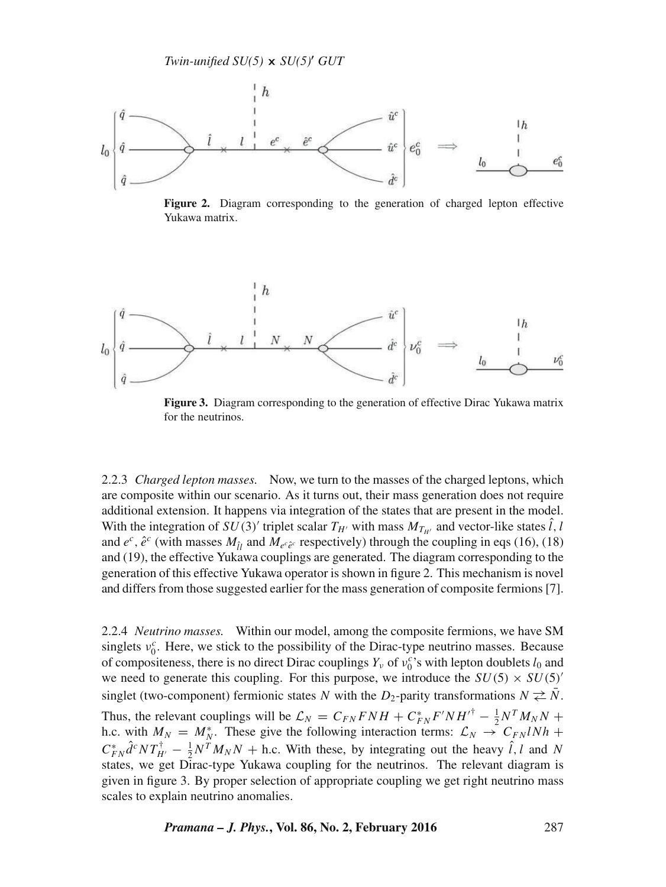

**Figure 2.** Diagram corresponding to the generation of charged lepton effective Yukawa matrix.



**Figure 3.** Diagram corresponding to the generation of effective Dirac Yukawa matrix for the neutrinos.

2.2.3 *Charged lepton masses.* Now, we turn to the masses of the charged leptons, which are composite within our scenario. As it turns out, their mass generation does not require additional extension. It happens via integration of the states that are present in the model. With the integration of  $SU(3)'$  triplet scalar  $T_{H'}$  with mass  $M_{T_{H'}}$  and vector-like states l, l and  $e^c$ ,  $\hat{e}^c$  (with masses  $M_{\hat{U}}$  and  $M_{e^c\hat{e}^c}$  respectively) through the coupling in eqs (16), (18) and (19), the effective Yukawa couplings are generated. The diagram corresponding to the generation of this effective Yukawa operator is shown in figure 2. This mechanism is novel and differs from those suggested earlier for the mass generation of composite fermions [7].

2.2.4 *Neutrino masses.* Within our model, among the composite fermions, we have SM singlets  $v_0^c$ . Here, we stick to the possibility of the Dirac-type neutrino masses. Because of compositeness, there is no direct Dirac couplings  $Y_v$  of  $v_0^c$ 's with lepton doublets  $l_0$  and we need to generate this coupling. For this purpose, we introduce the  $SU(5) \times SU(5)$ singlet (two-component) fermionic states N with the D<sub>2</sub>-parity transformations  $N \nightharpoonup \overline{N}$ . Thus, the relevant couplings will be  $\mathcal{L}_N = C_{FN} FNH + C_{FN}^* F'NH^{\dagger} - \frac{1}{2} N^T M_N N +$ h.c. with  $M_N = M_N^*$ . These give the following interaction terms:  $\mathcal{L}_N \rightarrow C_{FN} l N h +$  $C_{FN}^* \hat{d}^c NT_{H'}^{\dagger} - \frac{1}{2} N^T M_N N$  + h.c. With these, by integrating out the heavy  $\hat{l}$ , l and N states, we get Dirac-type Yukawa coupling for the neutrinos. The relevant diagram is given in figure 3. By proper selection of appropriate coupling we get right neutrino mass scales to explain neutrino anomalies.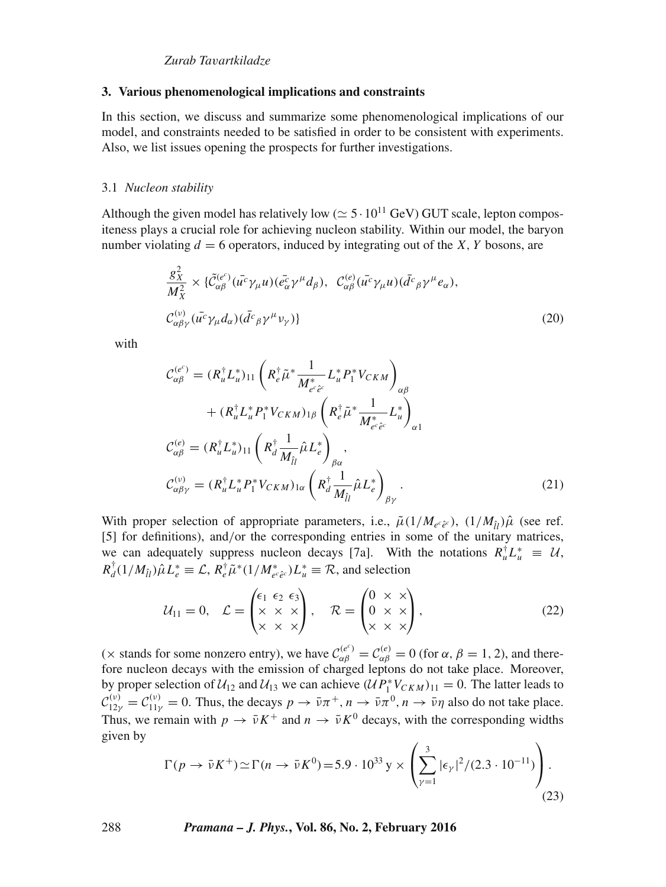## *Zurab Ta*v*artkiladze*

#### **3. Various phenomenological implications and constraints**

In this section, we discuss and summarize some phenomenological implications of our model, and constraints needed to be satisfied in order to be consistent with experiments. Also, we list issues opening the prospects for further investigations.

#### 3.1 *Nucleon stability*

Although the given model has relatively low ( $\simeq$  5 · 10<sup>11</sup> GeV) GUT scale, lepton compositeness plays a crucial role for achieving nucleon stability. Within our model, the baryon number violating  $d = 6$  operators, induced by integrating out of the X, Y bosons, are

$$
\frac{g_X^2}{M_X^2} \times \{\tilde{C}_{\alpha\beta}^{(e^c)}(\bar{u^c}\gamma_\mu u)(\bar{e}_\alpha^c \gamma^\mu d_\beta), \ C_{\alpha\beta}^{(e)}(\bar{u^c}\gamma_\mu u)(\bar{d^c}_\beta \gamma^\mu e_\alpha),
$$
  

$$
C_{\alpha\beta\gamma}^{(v)}(\bar{u^c}\gamma_\mu d_\alpha)(\bar{d^c}_\beta \gamma^\mu \nu_\gamma)\}
$$
(20)

with

$$
\mathcal{C}_{\alpha\beta}^{(e^c)} = (R_u^{\dagger} L_u^*)_{11} \left( R_e^{\dagger} \tilde{\mu}^* \frac{1}{M_{e^c \tilde{e}^c}^*} L_u^* P_1^* V_{CKM} \right)_{\alpha\beta} \n+ (R_u^{\dagger} L_u^* P_1^* V_{CKM})_{1\beta} \left( R_e^{\dagger} \tilde{\mu}^* \frac{1}{M_{e^c \tilde{e}^c}^*} L_u^* \right)_{\alpha 1} \n\mathcal{C}_{\alpha\beta}^{(e)} = (R_u^{\dagger} L_u^*)_{11} \left( R_d^{\dagger} \frac{1}{M_{\hat{U}}}\hat{\mu} L_e^* \right)_{\beta\alpha}, \n\mathcal{C}_{\alpha\beta\gamma}^{(v)} = (R_u^{\dagger} L_u^* P_1^* V_{CKM})_{1\alpha} \left( R_d^{\dagger} \frac{1}{M_{\hat{U}}}\hat{\mu} L_e^* \right)_{\beta\gamma}.
$$
\n(21)

With proper selection of appropriate parameters, i.e.,  $\tilde{\mu}(1/M_{e^c\hat{e}^c})$ ,  $(1/M_{\hat{u}})\hat{\mu}$  (see ref. [5] for definitions), and/or the corresponding entries in some of the unitary matrices, we can adequately suppress nucleon decays [7a]. With the notations  $R_u^{\dagger} L_u^* \equiv \mathcal{U}$ ,  $R_d^{\dagger}(1/M_{\hat{l}l})\hat{\mu}L_e^* \equiv \mathcal{L}, R_e^{\dagger}\tilde{\mu}^*(1/M_{e^c\hat{e}c}^*)L_u^* \equiv \mathcal{R}$ , and selection

$$
\mathcal{U}_{11} = 0, \quad \mathcal{L} = \begin{pmatrix} \epsilon_1 & \epsilon_2 & \epsilon_3 \\ \times & \times & \times \\ \times & \times & \times \end{pmatrix}, \quad \mathcal{R} = \begin{pmatrix} 0 & \times & \times \\ 0 & \times & \times \\ \times & \times & \times \end{pmatrix}, \tag{22}
$$

( $\times$  stands for some nonzero entry), we have  $C_{\alpha\beta}^{(e^c)} = C_{\alpha\beta}^{(e)} = 0$  (for  $\alpha$ ,  $\beta = 1, 2$ ), and therefore nucleon decays with the emission of charged leptons do not take place. Moreover, by proper selection of  $U_{12}$  and  $U_{13}$  we can achieve  $(UP_1^*V_{CKM})_{11} = 0$ . The latter leads to  $\mathcal{C}_{12\gamma}^{(\nu)} = \mathcal{C}_{11\gamma}^{(\nu)} = 0$ . Thus, the decays  $p \to \bar{\nu}\pi^+, n \to \bar{\nu}\pi^0, n \to \bar{\nu}\eta$  also do not take place. Thus, we remain with  $p \to \bar{\nu} K^+$  and  $n \to \bar{\nu} K^0$  decays, with the corresponding widths given by

$$
\Gamma(p \to \bar{\nu}K^+) \simeq \Gamma(n \to \bar{\nu}K^0) = 5.9 \cdot 10^{33} \,\text{y} \times \left( \sum_{\gamma=1}^3 |\epsilon_{\gamma}|^2 / (2.3 \cdot 10^{-11}) \right). \tag{23}
$$

288 *Pramana – J. Phys.***, Vol. 86, No. 2, February 2016**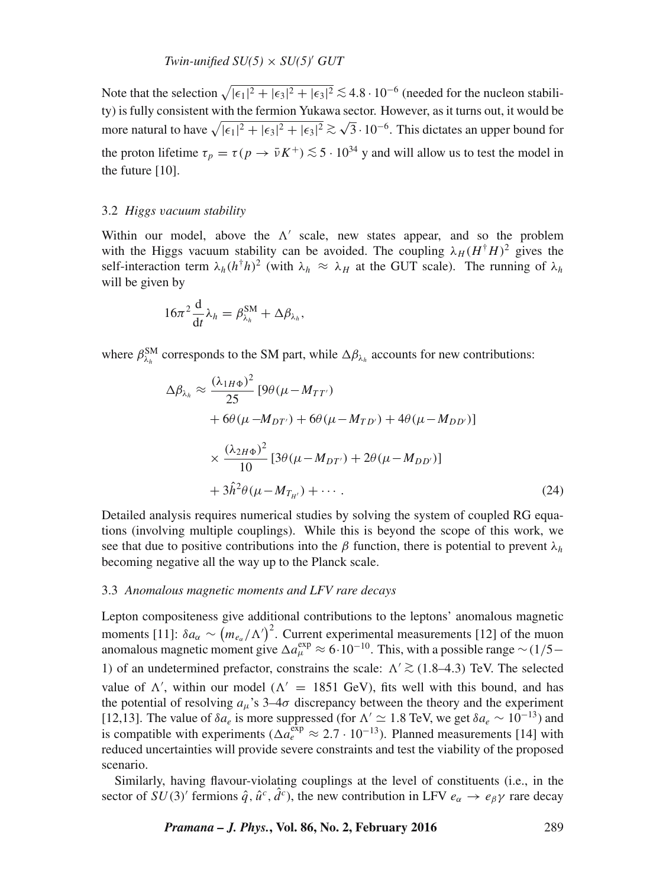*Twin-unified*  $SU(5) \times SU(5)'$  *GUT* 

Note that the selection  $\sqrt{|\epsilon_1|^2 + |\epsilon_3|^2 + |\epsilon_3|^2} \lesssim 4.8 \cdot 10^{-6}$  (needed for the nucleon stability) is fully consistent with the fermion Yukawa sector. However, as it turns out, it would be more natural to have  $\sqrt{|\epsilon_1|^2 + |\epsilon_3|^2 + |\epsilon_3|^2} \gtrsim \sqrt{3} \cdot 10^{-6}$ . This dictates an upper bound for the proton lifetime  $\tau_p = \tau (p \to \bar{\nu} K^+) \lesssim 5 \cdot 10^{34}$  y and will allow us to test the model in the future [10].

## 3.2 *Higgs* v*acuum stability*

Within our model, above the  $\Lambda'$  scale, new states appear, and so the problem with the Higgs vacuum stability can be avoided. The coupling  $\lambda_H (H^{\dagger}H)^2$  gives the self-interaction term  $\lambda_h(h^{\dagger}h)^2$  (with  $\lambda_h \approx \lambda_H$  at the GUT scale). The running of  $\lambda_h$ will be given by

$$
16\pi^2 \frac{\mathrm{d}}{\mathrm{d}t} \lambda_h = \beta_{\lambda_h}^{\text{SM}} + \Delta \beta_{\lambda_h},
$$

where  $\beta_{\lambda_h}^{SM}$  corresponds to the SM part, while  $\Delta\beta_{\lambda_h}$  accounts for new contributions:

$$
\Delta \beta_{\lambda_h} \approx \frac{(\lambda_{1H\Phi})^2}{25} \left[ 9\theta (\mu - M_{TT'}) \right.\n+ 6\theta (\mu - M_{DT'}) + 6\theta (\mu - M_{TD'}) + 4\theta (\mu - M_{DD'}) \right]\n\times \frac{(\lambda_{2H\Phi})^2}{10} \left[ 3\theta (\mu - M_{DT'}) + 2\theta (\mu - M_{DD'}) \right]\n+ 3\hat{h}^2 \theta (\mu - M_{T_{H'}}) + \cdots. \tag{24}
$$

Detailed analysis requires numerical studies by solving the system of coupled RG equations (involving multiple couplings). While this is beyond the scope of this work, we see that due to positive contributions into the  $\beta$  function, there is potential to prevent  $\lambda_h$ becoming negative all the way up to the Planck scale.

## 3.3 *Anomalous magnetic moments and LFV rare decays*

Lepton compositeness give additional contributions to the leptons' anomalous magnetic moments [11]:  $\delta a_{\alpha} \sim (m_{e_{\alpha}}/\Lambda')^2$ . Current experimental measurements [12] of the muon anomalous magnetic moment give  $\Delta a_\mu^{\text{exp}} \approx 6 \cdot 10^{-10}$ . This, with a possible range ~ (1/5− 1) of an undetermined prefactor, constrains the scale:  $\Lambda' \gtrsim (1.8-4.3)$  TeV. The selected value of  $\Lambda'$ , within our model ( $\Lambda' = 1851$  GeV), fits well with this bound, and has the potential of resolving  $a_{\mu}$ 's 3–4 $\sigma$  discrepancy between the theory and the experiment [12,13]. The value of  $\delta a_e$  is more suppressed (for  $\Lambda' \simeq 1.8$  TeV, we get  $\delta a_e \sim 10^{-13}$ ) and is compatible with experiments ( $\Delta a_e^{\exp} \approx 2.7 \cdot 10^{-13}$ ). Planned measurements [14] with reduced uncertainties will provide severe constraints and test the viability of the proposed scenario.

Similarly, having flavour-violating couplings at the level of constituents (i.e., in the sector of  $SU(3)$ <sup>'</sup> fermions  $\hat{q}$ ,  $\hat{u}^c$ ,  $\hat{d}^c$ ), the new contribution in LFV  $e_\alpha \to e_\beta \gamma$  rare decay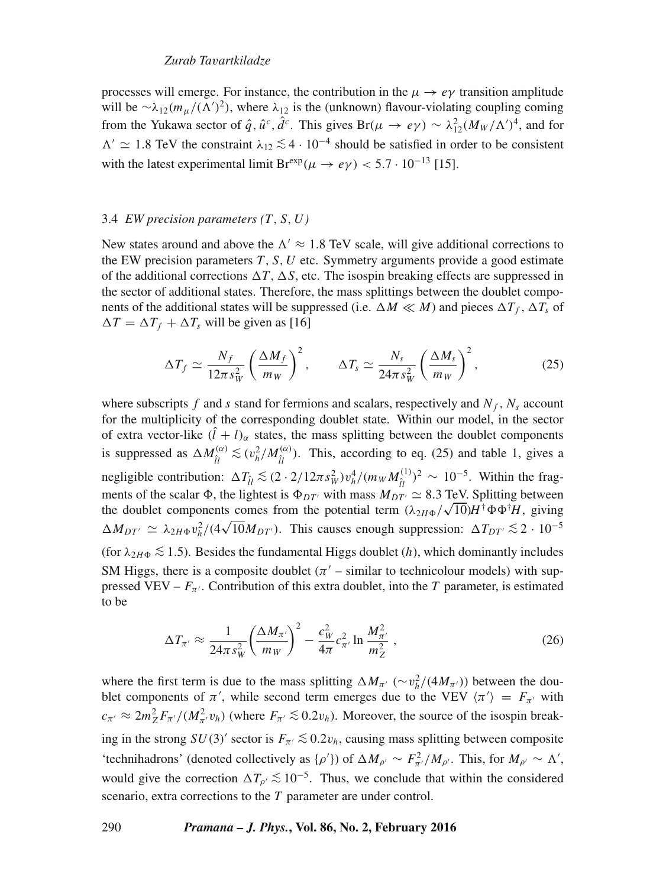# *Zurab Ta*v*artkiladze*

processes will emerge. For instance, the contribution in the  $\mu \to e\nu$  transition amplitude will be  $\sim \lambda_{12}(m_\mu/(\Lambda')^2)$ , where  $\lambda_{12}$  is the (unknown) flavour-violating coupling coming from the Yukawa sector of  $\hat{q}$ ,  $\hat{u}^c$ ,  $\hat{d}^c$ . This gives  $Br(\mu \to e\gamma) \sim \lambda_{12}^2 (M_W/\Lambda')^4$ , and for  $\Lambda'$   $\simeq$  1.8 TeV the constraint  $\lambda_{12}$   $\lesssim$  4 · 10<sup>-4</sup> should be satisfied in order to be consistent with the latest experimental limit Br<sup>exp</sup>( $\mu \rightarrow e\gamma$ ) < 5.7 · 10<sup>-13</sup> [15].

## 3.4 *EW precision parameters (*T,S,U*)*

New states around and above the  $\Lambda' \approx 1.8$  TeV scale, will give additional corrections to the EW precision parameters  $T, S, U$  etc. Symmetry arguments provide a good estimate of the additional corrections  $\Delta T$ ,  $\Delta S$ , etc. The isospin breaking effects are suppressed in the sector of additional states. Therefore, the mass splittings between the doublet components of the additional states will be suppressed (i.e.  $\Delta M \ll M$ ) and pieces  $\Delta T_f$ ,  $\Delta T_s$  of  $\Delta T = \Delta T_f + \Delta T_s$  will be given as [16]

$$
\Delta T_f \simeq \frac{N_f}{12\pi s_W^2} \left(\frac{\Delta M_f}{m_W}\right)^2, \qquad \Delta T_s \simeq \frac{N_s}{24\pi s_W^2} \left(\frac{\Delta M_s}{m_W}\right)^2, \tag{25}
$$

where subscripts f and s stand for fermions and scalars, respectively and  $N_f$ ,  $N_s$  account for the multiplicity of the corresponding doublet state. Within our model, in the sector of extra vector-like  $(l + l)_{\alpha}$  states, the mass splitting between the doublet components is suppressed as  $\Delta M_{\hat{l}l}^{(\alpha)} \lesssim (v_h^2/M_{\hat{l}l}^{(\alpha)})$ . This, according to eq. (25) and table 1, gives a negligible contribution:  $\Delta T_{\hat{l}l} \lesssim (2 \cdot 2/12\pi s_W^2) v_h^4/(m_W M_{\hat{l}l}^{(1)})$  $(\hat{u})^2 \sim 10^{-5}$ . Within the fragments of the scalar  $\Phi$ , the lightest is  $\Phi_{DT'}$  with mass  $M_{DT'} \simeq 8.3$  TeV. Splitting between the doublet components comes from the potential term  $(\lambda_{2H\Phi}/\sqrt{10})H^{\dagger}\Phi\Phi^{\dagger}H$ , giving  $\Delta M_{DT'} \simeq \lambda_{2H\Phi} v_h^2/(4\sqrt{10}M_{DT'})$ . This causes enough suppression:  $\Delta T_{DT'} \lesssim 2 \cdot 10^{-5}$ (for  $\lambda_{2H\Phi} \lesssim 1.5$ ). Besides the fundamental Higgs doublet (h), which dominantly includes SM Higgs, there is a composite doublet  $(\pi'$  – similar to technicolour models) with suppressed VEV –  $F_{\pi'}$ . Contribution of this extra doublet, into the T parameter, is estimated to be

$$
\Delta T_{\pi'} \approx \frac{1}{24\pi s_W^2} \left(\frac{\Delta M_{\pi'}}{m_W}\right)^2 - \frac{c_W^2}{4\pi} c_{\pi'}^2 \ln \frac{M_{\pi'}^2}{m_Z^2} \,,\tag{26}
$$

where the first term is due to the mass splitting  $\Delta M_{\pi'}$  ( $\sim v_h^2/(4M_{\pi'})$ ) between the doublet components of  $\pi'$ , while second term emerges due to the VEV  $\langle \pi' \rangle = F_{\pi'}$  with  $c_{\pi'} \approx 2m_Z^2 F_{\pi'}/(M_{\pi'}^2 v_h)$  (where  $F_{\pi'} \lesssim 0.2v_h$ ). Moreover, the source of the isospin breaking in the strong  $SU(3)$ ' sector is  $F_{\pi'} \lesssim 0.2v_h$ , causing mass splitting between composite 'technihadrons' (denoted collectively as  $\{\rho'\}\)$  of  $\Delta M_{\rho'} \sim F_{\pi'}^2/M_{\rho'}$ . This, for  $M_{\rho'} \sim \Lambda'$ , would give the correction  $\Delta T_{\rho'} \lesssim 10^{-5}$ . Thus, we conclude that within the considered scenario, extra corrections to the T parameter are under control.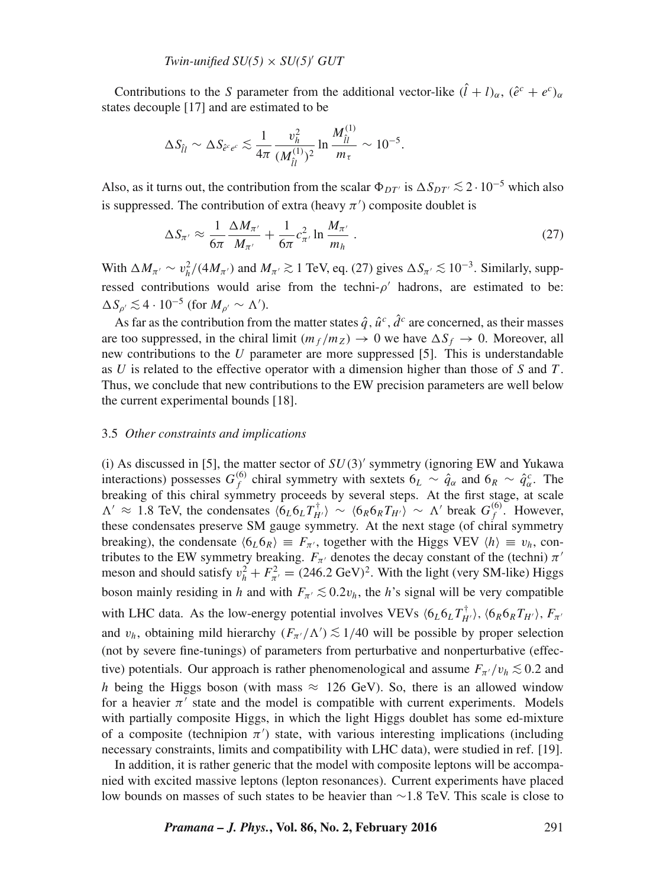Contributions to the S parameter from the additional vector-like  $(\hat{l} + l)_{\alpha}$ ,  $(\hat{e}^c + e^c)_{\alpha}$ states decouple [17] and are estimated to be

$$
\Delta S_{\hat{ll}} \sim \Delta S_{\hat{e}^c e^c} \lesssim \frac{1}{4\pi} \frac{v_h^2}{(M_{\hat{l}l}^{(1)})^2} \ln \frac{M_{\hat{l}l}^{(1)}}{m_\tau} \sim 10^{-5}.
$$

Also, as it turns out, the contribution from the scalar  $\Phi_{DT'}$  is  $\Delta S_{DT'} \lesssim 2 \cdot 10^{-5}$  which also is suppressed. The contribution of extra (heavy  $\pi'$ ) composite doublet is

$$
\Delta S_{\pi'} \approx \frac{1}{6\pi} \frac{\Delta M_{\pi'}}{M_{\pi'}} + \frac{1}{6\pi} c_{\pi'}^2 \ln \frac{M_{\pi'}}{m_h} \,. \tag{27}
$$

With  $\Delta M_{\pi'} \sim v_h^2/(4M_{\pi'})$  and  $M_{\pi'} \gtrsim 1$  TeV, eq. (27) gives  $\Delta S_{\pi'} \lesssim 10^{-3}$ . Similarly, suppressed contributions would arise from the techni- $\rho'$  hadrons, are estimated to be:  $\Delta S_{\rho'} \lesssim 4 \cdot 10^{-5}$  (for  $M_{\rho'} \sim \Lambda'$ ).

As far as the contribution from the matter states  $\hat{q}$ ,  $\hat{u}^c$ ,  $\hat{d}^c$  are concerned, as their masses are too suppressed, in the chiral limit  $(m_f/m_Z) \rightarrow 0$  we have  $\Delta S_f \rightarrow 0$ . Moreover, all new contributions to the U parameter are more suppressed [5]. This is understandable as U is related to the effective operator with a dimension higher than those of S and T. Thus, we conclude that new contributions to the EW precision parameters are well below the current experimental bounds [18].

#### 3.5 *Other constraints and implications*

(i) As discussed in [5], the matter sector of  $SU(3)$ ' symmetry (ignoring EW and Yukawa interactions) possesses  $G_f^{(6)}$  chiral symmetry with sextets  $6_L \sim \hat{q}_\alpha$  and  $6_R \sim \hat{q}_\alpha^c$ . The breaking of this chiral symmetry proceeds by several steps. At the first stage, at scale  $\Lambda' \approx 1.8$  TeV, the condensates  $\langle 6_L 6_L T_H^{\dagger} \rangle \sim \langle 6_R 6_R T_H \rangle \sim \Lambda'$  break  $G_f^{(6)}$ . However, these condensates preserve SM gauge symmetry. At the next stage (of chiral symmetry breaking), the condensate  $\langle 6_L 6_R \rangle \equiv F_{\pi'}$ , together with the Higgs VEV  $\langle h \rangle \equiv v_h$ , contributes to the EW symmetry breaking.  $F_{\pi'}$  denotes the decay constant of the (techni)  $\pi'$ meson and should satisfy  $v_h^2 + F_{\pi'}^2 = (246.2 \text{ GeV})^2$ . With the light (very SM-like) Higgs boson mainly residing in h and with  $F_{\pi}$ <sup> $\lesssim 0.2v_h$ </sup>, the h's signal will be very compatible with LHC data. As the low-energy potential involves VEVs  $\langle 6_L 6_L T_{H'}^{\dagger} \rangle$ ,  $\langle 6_R 6_R T_{H'} \rangle$ ,  $F_{\pi'}$ and  $v_h$ , obtaining mild hierarchy  $(F_{\pi'}/\Lambda') \lesssim 1/40$  will be possible by proper selection (not by severe fine-tunings) of parameters from perturbative and nonperturbative (effective) potentials. Our approach is rather phenomenological and assume  $F_{\pi}/v_h \lesssim 0.2$  and h being the Higgs boson (with mass  $\approx$  126 GeV). So, there is an allowed window for a heavier  $\pi'$  state and the model is compatible with current experiments. Models with partially composite Higgs, in which the light Higgs doublet has some ed-mixture of a composite (technipion  $\pi'$ ) state, with various interesting implications (including necessary constraints, limits and compatibility with LHC data), were studied in ref. [19].

In addition, it is rather generic that the model with composite leptons will be accompanied with excited massive leptons (lepton resonances). Current experiments have placed low bounds on masses of such states to be heavier than ∼1.8 TeV. This scale is close to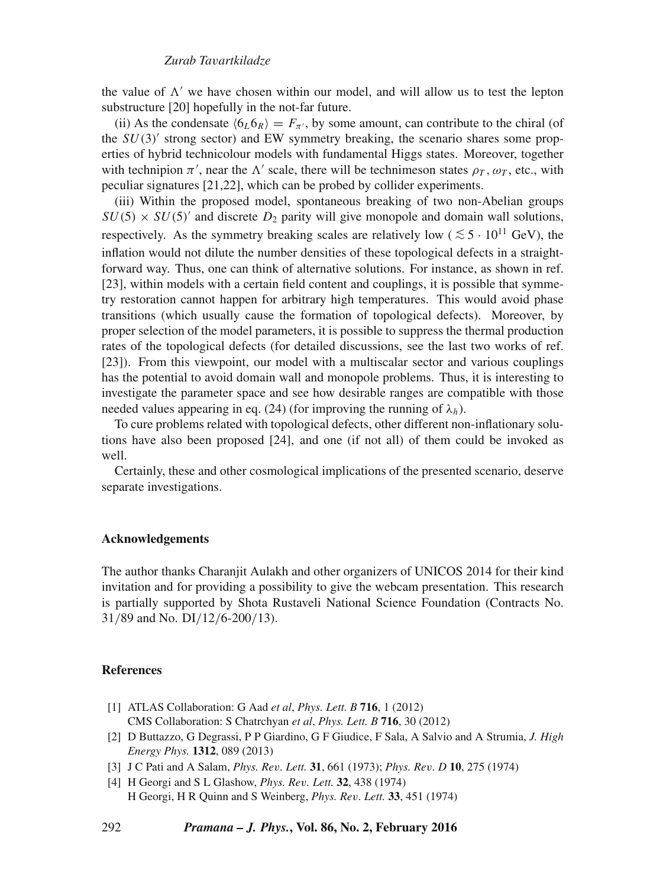the value of  $\Lambda'$  we have chosen within our model, and will allow us to test the lepton substructure [20] hopefully in the not-far future.

(ii) As the condensate  $\langle 6 \rangle_0 = F_\pi$ , by some amount, can contribute to the chiral (of the  $SU(3)$ ' strong sector) and EW symmetry breaking, the scenario shares some properties of hybrid technicolour models with fundamental Higgs states. Moreover, together with technipion  $\pi'$ , near the  $\Lambda'$  scale, there will be technimeson states  $\rho_T$ ,  $\omega_T$ , etc., with peculiar signatures [21,22], which can be probed by collider experiments.

(iii) Within the proposed model, spontaneous breaking of two non-Abelian groups  $SU(5) \times SU(5)$  and discrete  $D_2$  parity will give monopole and domain wall solutions, respectively. As the symmetry breaking scales are relatively low (  $\lesssim 5 \cdot 10^{11}$  GeV), the inflation would not dilute the number densities of these topological defects in a straightforward way. Thus, one can think of alternative solutions. For instance, as shown in ref. [23], within models with a certain field content and couplings, it is possible that symmetry restoration cannot happen for arbitrary high temperatures. This would avoid phase transitions (which usually cause the formation of topological defects). Moreover, by proper selection of the model parameters, it is possible to suppress the thermal production rates of the topological defects (for detailed discussions, see the last two works of ref. [23]). From this viewpoint, our model with a multiscalar sector and various couplings has the potential to avoid domain wall and monopole problems. Thus, it is interesting to investigate the parameter space and see how desirable ranges are compatible with those needed values appearing in eq. (24) (for improving the running of  $\lambda_h$ ).

To cure problems related with topological defects, other different non-inflationary solutions have also been proposed [24], and one (if not all) of them could be invoked as well.

Certainly, these and other cosmological implications of the presented scenario, deserve separate investigations.

#### **Acknowledgements**

The author thanks Charanjit Aulakh and other organizers of UNICOS 2014 for their kind invitation and for providing a possibility to give the webcam presentation. This research is partially supported by Shota Rustaveli National Science Foundation (Contracts No. 31/89 and No. DI/12/6-200/13).

#### **References**

- [1] ATLAS Collaboration: G Aad *et al*, *Phys. Lett. B* **716**, 1 (2012) CMS Collaboration: S Chatrchyan *et al*, *Phys. Lett. B* **716**, 30 (2012)
- [2] D Buttazzo, G Degrassi, P P Giardino, G F Giudice, F Sala, A Salvio and A Strumia, *J. High Energy Phys.* **1312**, 089 (2013)
- [3] J C Pati and A Salam, *Phys. Re*v*. Lett.* **31**, 661 (1973); *Phys. Re*v*. D* **10**, 275 (1974)
- [4] H Georgi and S L Glashow, *Phys. Re*v*. Lett.* **32**, 438 (1974) H Georgi, H R Quinn and S Weinberg, *Phys. Re*v*. Lett.* **33**, 451 (1974)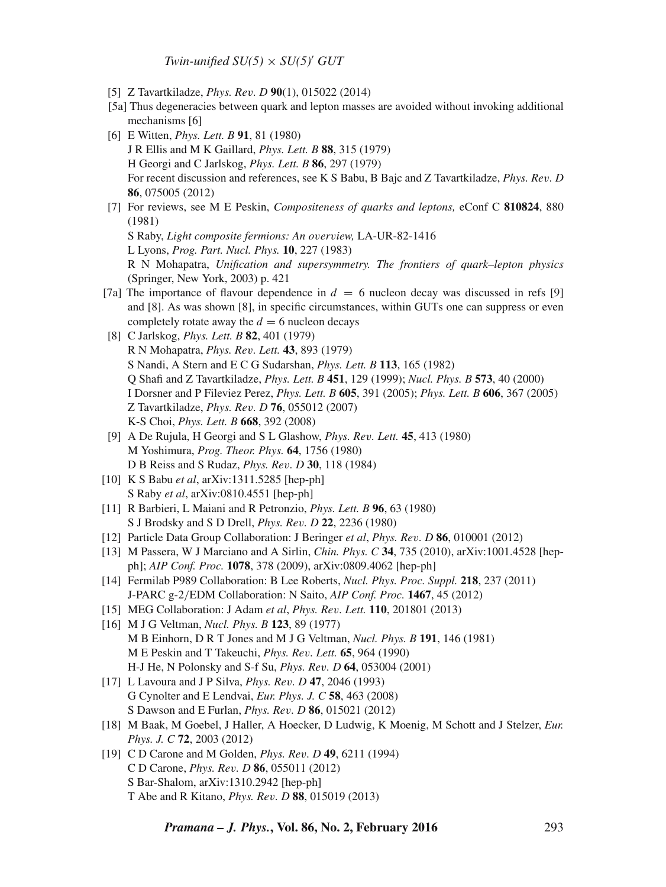*Twin-unified*  $SU(5) \times SU(5)'$  *GUT* 

- [5] Z Tavartkiladze, *Phys. Re*v*. D* **90**(1), 015022 (2014)
- [5a] Thus degeneracies between quark and lepton masses are avoided without invoking additional mechanisms [6]
- [6] E Witten, *Phys. Lett. B* **91**, 81 (1980) J R Ellis and M K Gaillard, *Phys. Lett. B* **88**, 315 (1979) H Georgi and C Jarlskog, *Phys. Lett. B* **86**, 297 (1979) For recent discussion and references, see K S Babu, B Bajc and Z Tavartkiladze, *Phys. Re*v*. D* **86**, 075005 (2012)
- [7] For reviews, see M E Peskin, *Compositeness of quarks and leptons,* eConf C **810824**, 880 (1981) S Raby, *Light composite fermions: An o*v*er*v*iew,* LA-UR-82-1416
	- L Lyons, *Prog. Part. Nucl. Phys.* **10**, 227 (1983)

R N Mohapatra, *Unification and supersymmetry. The frontiers of quark–lepton physics* (Springer, New York, 2003) p. 421

- [7a] The importance of flavour dependence in  $d = 6$  nucleon decay was discussed in refs [9] and [8]. As was shown [8], in specific circumstances, within GUTs one can suppress or even completely rotate away the  $d = 6$  nucleon decays
- [8] C Jarlskog, *Phys. Lett. B* **82**, 401 (1979) R N Mohapatra, *Phys. Re*v*. Lett.* **43**, 893 (1979) S Nandi, A Stern and E C G Sudarshan, *Phys. Lett. B* **113**, 165 (1982) Q Shafi and Z Tavartkiladze, *Phys. Lett. B* **451**, 129 (1999); *Nucl. Phys. B* **573**, 40 (2000) I Dorsner and P Fileviez Perez, *Phys. Lett. B* **605**, 391 (2005); *Phys. Lett. B* **606**, 367 (2005) Z Tavartkiladze, *Phys. Re*v*. D* **76**, 055012 (2007) K-S Choi, *Phys. Lett. B* **668**, 392 (2008)
- [9] A De Rujula, H Georgi and S L Glashow, *Phys. Re*v*. Lett.* **45**, 413 (1980) M Yoshimura, *Prog. Theor. Phys.* **64**, 1756 (1980) D B Reiss and S Rudaz, *Phys. Re*v*. D* **30**, 118 (1984)
- [10] K S Babu *et al*, arXiv:1311.5285 [hep-ph] S Raby *et al*, arXiv:0810.4551 [hep-ph]
- [11] R Barbieri, L Maiani and R Petronzio, *Phys. Lett. B* **96**, 63 (1980) S J Brodsky and S D Drell, *Phys. Re*v*. D* **22**, 2236 (1980)
- [12] Particle Data Group Collaboration: J Beringer *et al*, *Phys. Re*v*. D* **86**, 010001 (2012)
- [13] M Passera, W J Marciano and A Sirlin, *Chin. Phys. C* **34**, 735 (2010), arXiv:1001.4528 [hepph]; *AIP Conf. Proc.* **1078**, 378 (2009), arXiv:0809.4062 [hep-ph]
- [14] Fermilab P989 Collaboration: B Lee Roberts, *Nucl. Phys. Proc. Suppl.* **218**, 237 (2011) J-PARC g-2/EDM Collaboration: N Saito, *AIP Conf. Proc.* **1467**, 45 (2012)
- [15] MEG Collaboration: J Adam *et al*, *Phys. Re*v*. Lett.* **110**, 201801 (2013)
- [16] M J G Veltman, *Nucl. Phys. B* **123**, 89 (1977) M B Einhorn, D R T Jones and M J G Veltman, *Nucl. Phys. B* **191**, 146 (1981) M E Peskin and T Takeuchi, *Phys. Re*v*. Lett.* **65**, 964 (1990) H-J He, N Polonsky and S-f Su, *Phys. Re*v*. D* **64**, 053004 (2001)
- [17] L Lavoura and J P Silva, *Phys. Re*v*. D* **47**, 2046 (1993) G Cynolter and E Lendvai, *Eur. Phys. J. C* **58**, 463 (2008) S Dawson and E Furlan, *Phys. Re*v*. D* **86**, 015021 (2012)
- [18] M Baak, M Goebel, J Haller, A Hoecker, D Ludwig, K Moenig, M Schott and J Stelzer, *Eur. Phys. J. C* **72**, 2003 (2012)
- [19] C D Carone and M Golden, *Phys. Re*v*. D* **49**, 6211 (1994) C D Carone, *Phys. Re*v*. D* **86**, 055011 (2012) S Bar-Shalom, arXiv:1310.2942 [hep-ph] T Abe and R Kitano, *Phys. Re*v*. D* **88**, 015019 (2013)

*Pramana – J. Phys.***, Vol. 86, No. 2, February 2016** 293